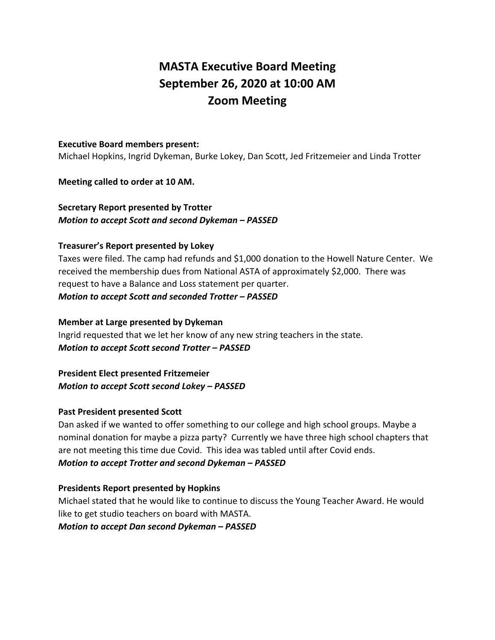# **MASTA Executive Board Meeting September 26, 2020 at 10:00 AM Zoom Meeting**

#### **Executive Board members present:**

Michael Hopkins, Ingrid Dykeman, Burke Lokey, Dan Scott, Jed Fritzemeier and Linda Trotter

**Meeting called to order at 10 AM.** 

**Secretary Report presented by Trotter** *Motion to accept Scott and second Dykeman – PASSED*

### **Treasurer's Report presented by Lokey**

Taxes were filed. The camp had refunds and \$1,000 donation to the Howell Nature Center. We received the membership dues from National ASTA of approximately \$2,000. There was request to have a Balance and Loss statement per quarter. *Motion to accept Scott and seconded Trotter – PASSED*

#### **Member at Large presented by Dykeman**

Ingrid requested that we let her know of any new string teachers in the state. *Motion to accept Scott second Trotter – PASSED*

**President Elect presented Fritzemeier** *Motion to accept Scott second Lokey – PASSED*

### **Past President presented Scott**

Dan asked if we wanted to offer something to our college and high school groups. Maybe a nominal donation for maybe a pizza party? Currently we have three high school chapters that are not meeting this time due Covid. This idea was tabled until after Covid ends. *Motion to accept Trotter and second Dykeman – PASSED*

### **Presidents Report presented by Hopkins**

Michael stated that he would like to continue to discuss the Young Teacher Award. He would like to get studio teachers on board with MASTA.

*Motion to accept Dan second Dykeman – PASSED*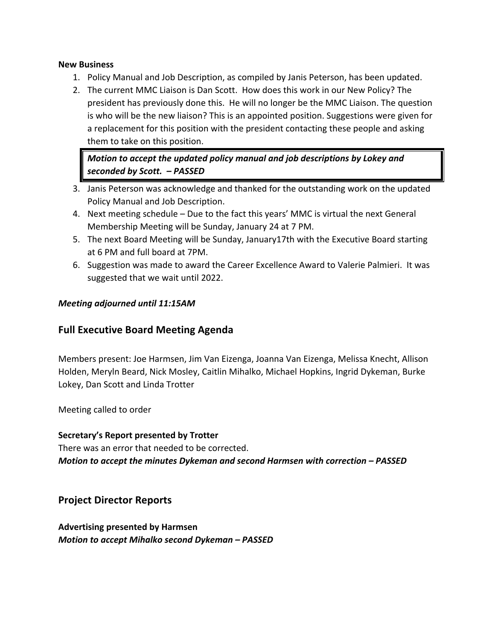#### **New Business**

- 1. Policy Manual and Job Description, as compiled by Janis Peterson, has been updated.
- 2. The current MMC Liaison is Dan Scott. How does this work in our New Policy? The president has previously done this. He will no longer be the MMC Liaison. The question is who will be the new liaison? This is an appointed position. Suggestions were given for a replacement for this position with the president contacting these people and asking them to take on this position.

*Motion to accept the updated policy manual and job descriptions by Lokey and seconded by Scott. – PASSED*

- 3. Janis Peterson was acknowledge and thanked for the outstanding work on the updated Policy Manual and Job Description.
- 4. Next meeting schedule Due to the fact this years' MMC is virtual the next General Membership Meeting will be Sunday, January 24 at 7 PM.
- 5. The next Board Meeting will be Sunday, January17th with the Executive Board starting at 6 PM and full board at 7PM.
- 6. Suggestion was made to award the Career Excellence Award to Valerie Palmieri. It was suggested that we wait until 2022.

#### *Meeting adjourned until 11:15AM*

# **Full Executive Board Meeting Agenda**

Members present: Joe Harmsen, Jim Van Eizenga, Joanna Van Eizenga, Melissa Knecht, Allison Holden, Meryln Beard, Nick Mosley, Caitlin Mihalko, Michael Hopkins, Ingrid Dykeman, Burke Lokey, Dan Scott and Linda Trotter

Meeting called to order

### **Secretary's Report presented by Trotter**

There was an error that needed to be corrected. *Motion to accept the minutes Dykeman and second Harmsen with correction – PASSED*

# **Project Director Reports**

**Advertising presented by Harmsen** *Motion to accept Mihalko second Dykeman – PASSED*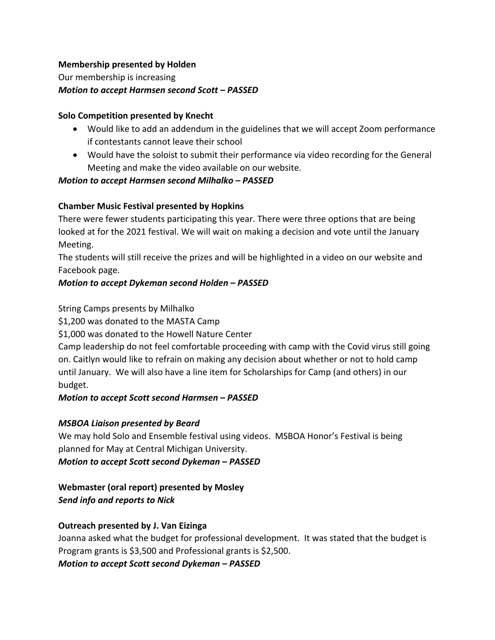### **Membership presented by Holden**

# Our membership is increasing *Motion to accept Harmsen second Scott – PASSED*

## **Solo Competition presented by Knecht**

- Would like to add an addendum in the guidelines that we will accept Zoom performance if contestants cannot leave their school
- Would have the soloist to submit their performance via video recording for the General Meeting and make the video available on our website.

## *Motion to accept Harmsen second Milhalko – PASSED*

# **Chamber Music Festival presented by Hopkins**

There were fewer students participating this year. There were three options that are being looked at for the 2021 festival. We will wait on making a decision and vote until the January Meeting.

The students will still receive the prizes and will be highlighted in a video on our website and Facebook page.

## *Motion to accept Dykeman second Holden – PASSED*

String Camps presents by Milhalko

\$1,200 was donated to the MASTA Camp

\$1,000 was donated to the Howell Nature Center

Camp leadership do not feel comfortable proceeding with camp with the Covid virus still going on. Caitlyn would like to refrain on making any decision about whether or not to hold camp until January. We will also have a line item for Scholarships for Camp (and others) in our budget.

### *Motion to accept Scott second Harmsen – PASSED*

# *MSBOA Liaison presented by Beard*

We may hold Solo and Ensemble festival using videos. MSBOA Honor's Festival is being planned for May at Central Michigan University. *Motion to accept Scott second Dykeman – PASSED*

# **Webmaster (oral report) presented by Mosley** *Send info and reports to Nick*

# **Outreach presented by J. Van Eizinga**

Joanna asked what the budget for professional development. It was stated that the budget is Program grants is \$3,500 and Professional grants is \$2,500. *Motion to accept Scott second Dykeman – PASSED*